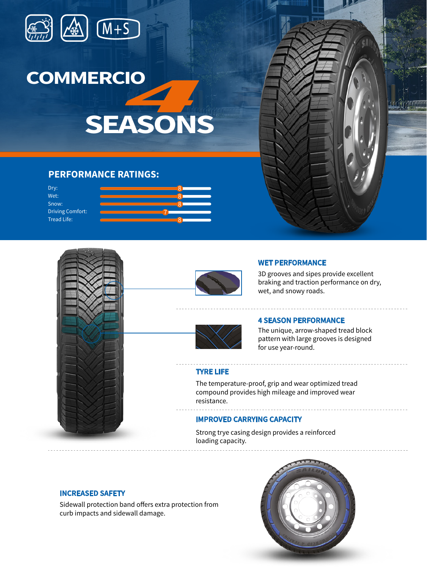



**SEASONS**

### **PERFORMANCE RATINGS:**

Dry: Wet: Snow: Driving Comfort: Tread Life:







3D grooves and sipes provide excellent braking and traction performance on dry, wet, and snowy roads.

## **4 SEASON PERFORMANCE**

The unique, arrow-shaped tread block pattern with large grooves is designed for use year-round.

#### **TYRE LIFE**

The temperature-proof, grip and wear optimized tread compound provides high mileage and improved wear resistance.

#### **IMPROVED CARRYING CAPACITY**

Strong trye casing design provides a reinforced loading capacity.

**INCREASED SAFETY**

Sidewall protection band offers extra protection from curb impacts and sidewall damage.